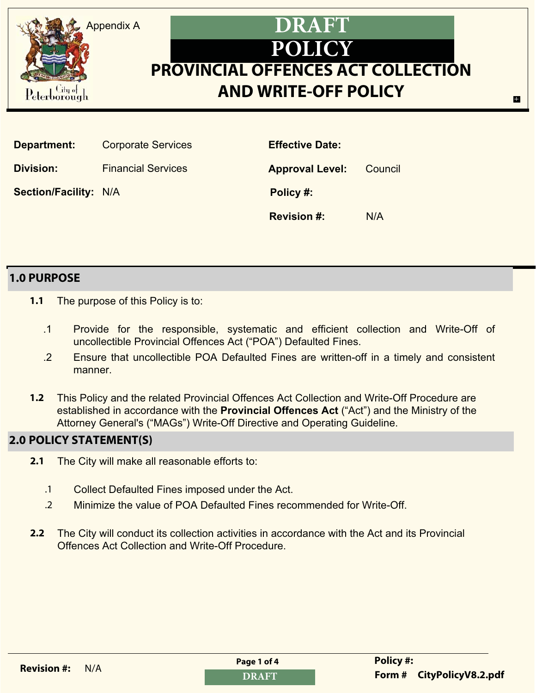

| Department:                  | <b>Corporate Services</b> | <b>Effective Date:</b> |         |
|------------------------------|---------------------------|------------------------|---------|
| <b>Division:</b>             | <b>Financial Services</b> | <b>Approval Level:</b> | Council |
| <b>Section/Facility: N/A</b> |                           | Policy #:              |         |
|                              |                           | <b>Revision #:</b>     | N/A     |

### **1.0 PURPOSE**

- **1.1** The purpose of this Policy is to:
	- .1 Provide for the responsible, systematic and efficient collection and Write-Off of uncollectible Provincial Offences Act ("POA") Defaulted Fines.
	- .2 Ensure that uncollectible POA Defaulted Fines are written-off in a timely and consistent manner.
- **1.2** This Policy and the related Provincial Offences Act Collection and Write-Off Procedure are established in accordance with the **Provincial Offences Act** ("Act") and the Ministry of the Attorney General's ("MAGs") Write-Off Directive and Operating Guideline.

# **2.0 POLICY STATEMENT(S)**

- **2.1** The City will make all reasonable efforts to:
	- .1 Collect Defaulted Fines imposed under the Act.
	- .2 Minimize the value of POA Defaulted Fines recommended for Write-Off.
- **2.2** The City will conduct its collection activities in accordance with the Act and its Provincial Offences Act Collection and Write-Off Procedure.

| <b>Revision #: N/A</b> | Page 1 of 4   | <b>Policy#:</b>                 |
|------------------------|---------------|---------------------------------|
|                        | <b>DD</b> IDE | $E_{\text{a} \text{use}}$ $\mu$ |

E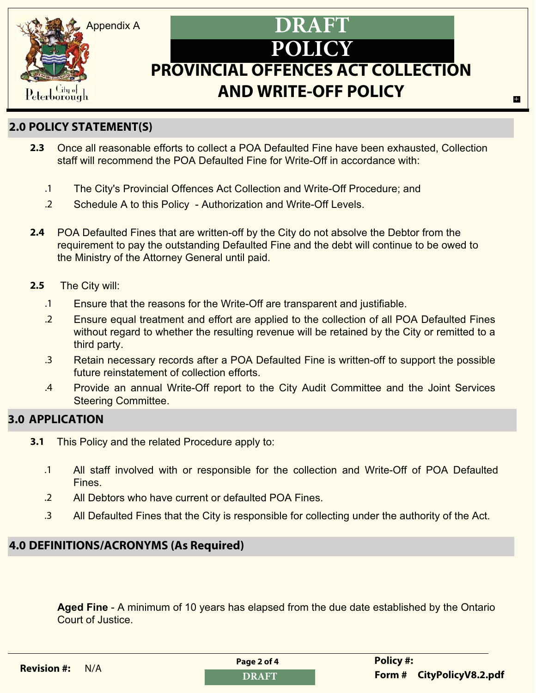

# **POLICY PROVINCIAL OFFENCES ACT COLLECTION AND WRITE-OFF POLICY DRAFT**

E

# **2.0 POLICY STATEMENT(S)**

- **2.3** Once all reasonable efforts to collect a POA Defaulted Fine have been exhausted, Collection staff will recommend the POA Defaulted Fine for Write-Off in accordance with:
	- .1 The City's Provincial Offences Act Collection and Write-Off Procedure; and
	- .2 Schedule A to this Policy Authorization and Write-Off Levels.
- **2.4** POA Defaulted Fines that are written-off by the City do not absolve the Debtor from the requirement to pay the outstanding Defaulted Fine and the debt will continue to be owed to the Ministry of the Attorney General until paid.
- **2.5** The City will:
	- .1 Ensure that the reasons for the Write-Off are transparent and justifiable.
	- .2 Ensure equal treatment and effort are applied to the collection of all POA Defaulted Fines without regard to whether the resulting revenue will be retained by the City or remitted to a third party.
	- .3 Retain necessary records after a POA Defaulted Fine is written-off to support the possible future reinstatement of collection efforts.
	- .4 Provide an annual Write-Off report to the City Audit Committee and the Joint Services Steering Committee.

# **3.0 APPLICATION**

- **3.1** This Policy and the related Procedure apply to:
	- .1 All staff involved with or responsible for the collection and Write-Off of POA Defaulted Fines.
	- .2 All Debtors who have current or defaulted POA Fines.
	- .3 All Defaulted Fines that the City is responsible for collecting under the authority of the Act.

# **4.0 DEFINITIONS/ACRONYMS (As Required)**

**Aged Fine** - A minimum of 10 years has elapsed from the due date established by the Ontario Court of Justice.

| <b>Revision #:</b> $N/A$ | Page 2 of 4 | <b>Policy #:</b>          |
|--------------------------|-------------|---------------------------|
|                          | DRAFT       | Form # CityPolicyV8.2.pdf |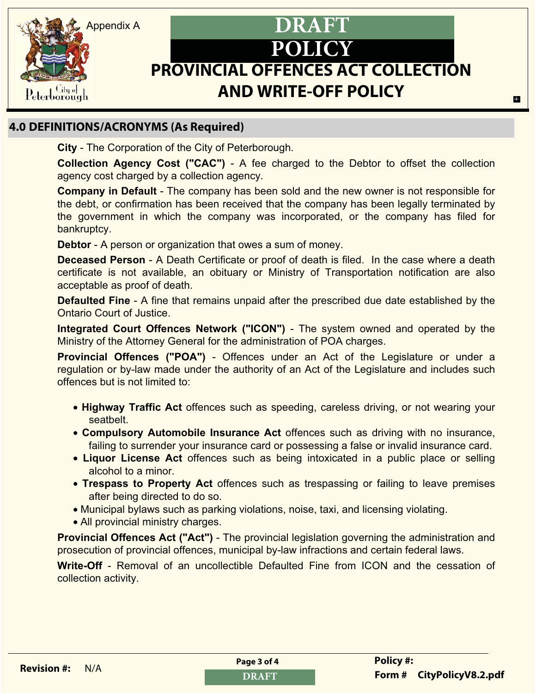

# **POLICY PROVINCIAL OFFENCES ACT COLLECTION AND WRITE-OFF POLICY DRAFT**

# **4.0 DEFINITIONS/ACRONYMS (As Required)**

**City** - The Corporation of the City of Peterborough.

**Collection Agency Cost ("CAC")** - A fee charged to the Debtor to offset the collection agency cost charged by a collection agency.

**Company in Default** - The company has been sold and the new owner is not responsible for the debt, or confirmation has been received that the company has been legally terminated by the government in which the company was incorporated, or the company has filed for bankruptcy.

**Debtor** - A person or organization that owes a sum of money.

**Deceased Person** - A Death Certificate or proof of death is filed. In the case where a death certificate is not available, an obituary or Ministry of Transportation notification are also acceptable as proof of death.

**Defaulted Fine** - A fine that remains unpaid after the prescribed due date established by the Ontario Court of Justice.

**Integrated Court Offences Network ("ICON")** - The system owned and operated by the Ministry of the Attorney General for the administration of POA charges.

**Provincial Offences ("POA")** - Offences under an Act of the Legislature or under a regulation or by-law made under the authority of an Act of the Legislature and includes such offences but is not limited to:

- **Highway Traffic Act** offences such as speeding, careless driving, or not wearing your seatbelt.
- **Compulsory Automobile Insurance Act** offences such as driving with no insurance, failing to surrender your insurance card or possessing a false or invalid insurance card.
- **Liquor License Act** offences such as being intoxicated in a public place or selling alcohol to a minor.
- **Trespass to Property Act** offences such as trespassing or failing to leave premises after being directed to do so.
- Municipal bylaws such as parking violations, noise, taxi, and licensing violating.
- All provincial ministry charges.

**Provincial Offences Act ("Act")** - The provincial legislation governing the administration and prosecution of provincial offences, municipal by-law infractions and certain federal laws.

**Write-Off** - Removal of an uncollectible Defaulted Fine from ICON and the cessation of collection activity.

| <b>Revision #: N/A</b> | Page 3 of 4                   | <b>Policy#:</b> |
|------------------------|-------------------------------|-----------------|
|                        | <b>The Contract of School</b> | F <b>4</b>      |

E